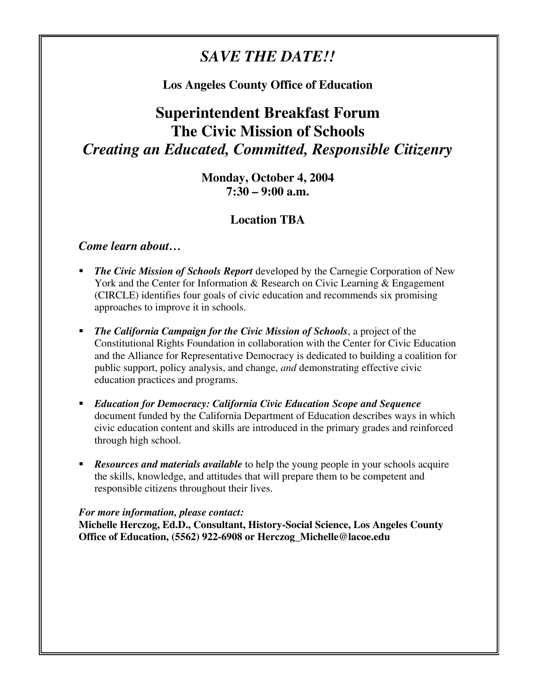## *SAVE THE DATE!!*

### **Los Angeles County Office of Education**

# **Superintendent Breakfast Forum The Civic Mission of Schools**  *Creating an Educated, Committed, Responsible Citizenry*

**Monday, October 4, 2004 7:30 – 9:00 a.m.** 

### **Location TBA**

#### *Come learn about…*

- **The Civic Mission of Schools Report** developed by the Carnegie Corporation of New York and the Center for Information & Research on Civic Learning & Engagement (CIRCLE) identifies four goals of civic education and recommends six promising approaches to improve it in schools.
- *The California Campaign for the Civic Mission of Schools*, a project of the Constitutional Rights Foundation in collaboration with the Center for Civic Education and the Alliance for Representative Democracy is dedicated to building a coalition for public support, policy analysis, and change, *and* demonstrating effective civic education practices and programs.
- *Education for Democracy: California Civic Education Scope and Sequence* document funded by the California Department of Education describes ways in which civic education content and skills are introduced in the primary grades and reinforced through high school.
- *Resources and materials available* to help the young people in your schools acquire the skills, knowledge, and attitudes that will prepare them to be competent and responsible citizens throughout their lives.

#### *For more information, please contact:*

**Michelle Herczog, Ed.D., Consultant, History-Social Science, Los Angeles County Office of Education, (5562) 922-6908 or Herczog\_Michelle@lacoe.edu**